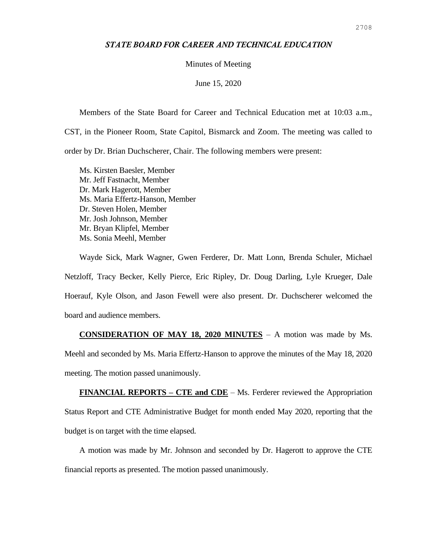## *STATE BOARD FOR CAREER AND TECHNICAL EDUCATION*

Minutes of Meeting

June 15, 2020

Members of the State Board for Career and Technical Education met at 10:03 a.m.,

CST, in the Pioneer Room, State Capitol, Bismarck and Zoom. The meeting was called to

order by Dr. Brian Duchscherer, Chair. The following members were present:

Ms. Kirsten Baesler, Member Mr. Jeff Fastnacht, Member Dr. Mark Hagerott, Member Ms. Maria Effertz-Hanson, Member Dr. Steven Holen, Member Mr. Josh Johnson, Member Mr. Bryan Klipfel, Member Ms. Sonia Meehl, Member

Wayde Sick, Mark Wagner, Gwen Ferderer, Dr. Matt Lonn, Brenda Schuler, Michael Netzloff, Tracy Becker, Kelly Pierce, Eric Ripley, Dr. Doug Darling, Lyle Krueger, Dale Hoerauf, Kyle Olson, and Jason Fewell were also present. Dr. Duchscherer welcomed the board and audience members.

**CONSIDERATION OF MAY 18, 2020 MINUTES** – A motion was made by Ms. Meehl and seconded by Ms. Maria Effertz-Hanson to approve the minutes of the May 18, 2020 meeting. The motion passed unanimously.

**FINANCIAL REPORTS – CTE and CDE** – Ms. Ferderer reviewed the Appropriation Status Report and CTE Administrative Budget for month ended May 2020, reporting that the budget is on target with the time elapsed.

A motion was made by Mr. Johnson and seconded by Dr. Hagerott to approve the CTE financial reports as presented. The motion passed unanimously.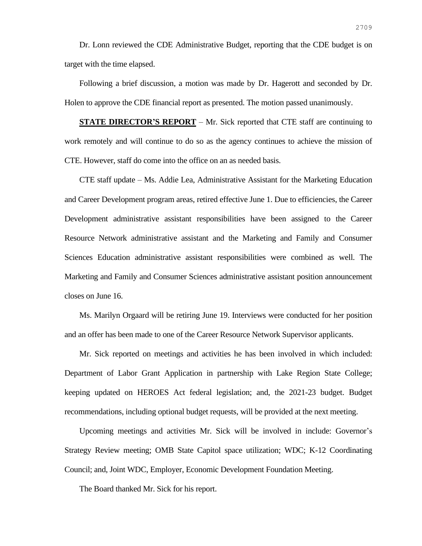Dr. Lonn reviewed the CDE Administrative Budget, reporting that the CDE budget is on target with the time elapsed.

Following a brief discussion, a motion was made by Dr. Hagerott and seconded by Dr. Holen to approve the CDE financial report as presented. The motion passed unanimously.

**STATE DIRECTOR'S REPORT** – Mr. Sick reported that CTE staff are continuing to work remotely and will continue to do so as the agency continues to achieve the mission of CTE. However, staff do come into the office on an as needed basis.

CTE staff update – Ms. Addie Lea, Administrative Assistant for the Marketing Education and Career Development program areas, retired effective June 1. Due to efficiencies, the Career Development administrative assistant responsibilities have been assigned to the Career Resource Network administrative assistant and the Marketing and Family and Consumer Sciences Education administrative assistant responsibilities were combined as well. The Marketing and Family and Consumer Sciences administrative assistant position announcement closes on June 16.

Ms. Marilyn Orgaard will be retiring June 19. Interviews were conducted for her position and an offer has been made to one of the Career Resource Network Supervisor applicants.

Mr. Sick reported on meetings and activities he has been involved in which included: Department of Labor Grant Application in partnership with Lake Region State College; keeping updated on HEROES Act federal legislation; and, the 2021-23 budget. Budget recommendations, including optional budget requests, will be provided at the next meeting.

Upcoming meetings and activities Mr. Sick will be involved in include: Governor's Strategy Review meeting; OMB State Capitol space utilization; WDC; K-12 Coordinating Council; and, Joint WDC, Employer, Economic Development Foundation Meeting.

The Board thanked Mr. Sick for his report.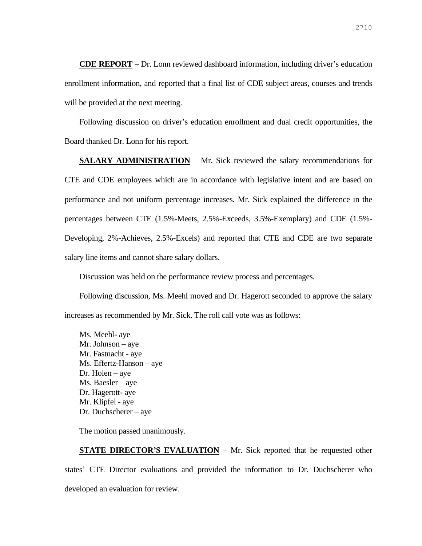**CDE REPORT** – Dr. Lonn reviewed dashboard information, including driver's education enrollment information, and reported that a final list of CDE subject areas, courses and trends will be provided at the next meeting.

Following discussion on driver's education enrollment and dual credit opportunities, the Board thanked Dr. Lonn for his report.

**SALARY ADMINISTRATION** – Mr. Sick reviewed the salary recommendations for CTE and CDE employees which are in accordance with legislative intent and are based on performance and not uniform percentage increases. Mr. Sick explained the difference in the percentages between CTE (1.5%-Meets, 2.5%-Exceeds, 3.5%-Exemplary) and CDE (1.5%- Developing, 2%-Achieves, 2.5%-Excels) and reported that CTE and CDE are two separate salary line items and cannot share salary dollars.

Discussion was held on the performance review process and percentages.

Following discussion, Ms. Meehl moved and Dr. Hagerott seconded to approve the salary increases as recommended by Mr. Sick. The roll call vote was as follows:

Ms. Meehl- aye Mr. Johnson – aye Mr. Fastnacht - aye Ms. Effertz-Hanson – aye Dr. Holen – aye Ms. Baesler – aye Dr. Hagerott- aye Mr. Klipfel - aye Dr. Duchscherer – aye

The motion passed unanimously.

**STATE DIRECTOR'S EVALUATION** – Mr. Sick reported that he requested other states' CTE Director evaluations and provided the information to Dr. Duchscherer who developed an evaluation for review.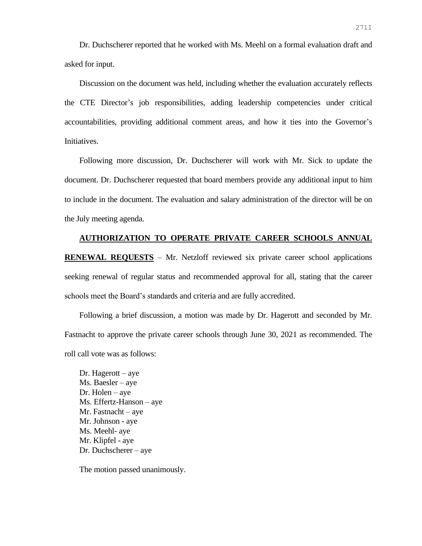Dr. Duchscherer reported that he worked with Ms. Meehl on a formal evaluation draft and asked for input.

Discussion on the document was held, including whether the evaluation accurately reflects the CTE Director's job responsibilities, adding leadership competencies under critical accountabilities, providing additional comment areas, and how it ties into the Governor's Initiatives.

Following more discussion, Dr. Duchscherer will work with Mr. Sick to update the document. Dr. Duchscherer requested that board members provide any additional input to him to include in the document. The evaluation and salary administration of the director will be on the July meeting agenda.

## **AUTHORIZATION TO OPERATE PRIVATE CAREER SCHOOLS ANNUAL**

**RENEWAL REQUESTS** – Mr. Netzloff reviewed six private career school applications seeking renewal of regular status and recommended approval for all, stating that the career schools meet the Board's standards and criteria and are fully accredited.

Following a brief discussion, a motion was made by Dr. Hagerott and seconded by Mr. Fastnacht to approve the private career schools through June 30, 2021 as recommended. The roll call vote was as follows:

Dr. Hagerott – aye Ms. Baesler – aye Dr. Holen – aye Ms. Effertz-Hanson – aye Mr. Fastnacht – aye Mr. Johnson - aye Ms. Meehl- aye Mr. Klipfel - aye Dr. Duchscherer – aye

The motion passed unanimously.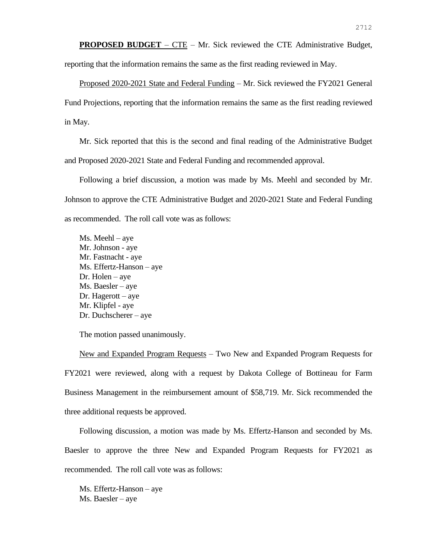**PROPOSED BUDGET** – CTE – Mr. Sick reviewed the CTE Administrative Budget, reporting that the information remains the same as the first reading reviewed in May.

Proposed 2020-2021 State and Federal Funding – Mr. Sick reviewed the FY2021 General Fund Projections, reporting that the information remains the same as the first reading reviewed in May.

Mr. Sick reported that this is the second and final reading of the Administrative Budget and Proposed 2020-2021 State and Federal Funding and recommended approval.

Following a brief discussion, a motion was made by Ms. Meehl and seconded by Mr. Johnson to approve the CTE Administrative Budget and 2020-2021 State and Federal Funding as recommended. The roll call vote was as follows:

Ms. Meehl – aye Mr. Johnson - aye Mr. Fastnacht - aye Ms. Effertz-Hanson – aye Dr. Holen – aye Ms. Baesler – aye Dr. Hagerott – aye Mr. Klipfel - aye Dr. Duchscherer – aye

The motion passed unanimously.

New and Expanded Program Requests – Two New and Expanded Program Requests for FY2021 were reviewed, along with a request by Dakota College of Bottineau for Farm Business Management in the reimbursement amount of \$58,719. Mr. Sick recommended the three additional requests be approved.

Following discussion, a motion was made by Ms. Effertz-Hanson and seconded by Ms. Baesler to approve the three New and Expanded Program Requests for FY2021 as recommended. The roll call vote was as follows:

Ms. Effertz-Hanson – aye Ms. Baesler – aye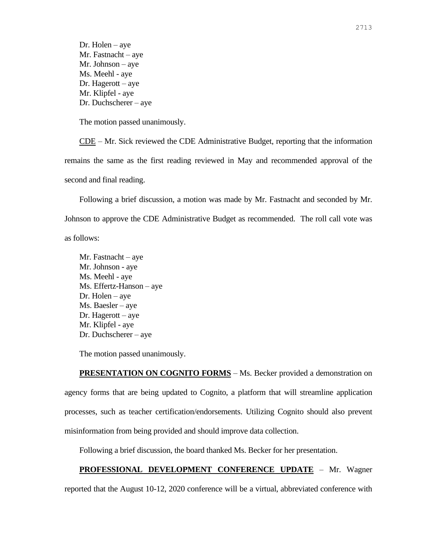Dr. Holen – aye Mr. Fastnacht – aye Mr. Johnson – aye Ms. Meehl - aye Dr. Hagerott – aye Mr. Klipfel - aye Dr. Duchscherer – aye

The motion passed unanimously.

CDE – Mr. Sick reviewed the CDE Administrative Budget, reporting that the information remains the same as the first reading reviewed in May and recommended approval of the second and final reading.

Following a brief discussion, a motion was made by Mr. Fastnacht and seconded by Mr. Johnson to approve the CDE Administrative Budget as recommended. The roll call vote was as follows:

Mr. Fastnacht – aye Mr. Johnson - aye Ms. Meehl - aye Ms. Effertz-Hanson – aye Dr. Holen – aye Ms. Baesler – aye Dr. Hagerott – aye Mr. Klipfel - aye Dr. Duchscherer – aye

The motion passed unanimously.

**PRESENTATION ON COGNITO FORMS** – Ms. Becker provided a demonstration on agency forms that are being updated to Cognito, a platform that will streamline application processes, such as teacher certification/endorsements. Utilizing Cognito should also prevent misinformation from being provided and should improve data collection.

Following a brief discussion, the board thanked Ms. Becker for her presentation.

## **PROFESSIONAL DEVELOPMENT CONFERENCE UPDATE** – Mr. Wagner

reported that the August 10-12, 2020 conference will be a virtual, abbreviated conference with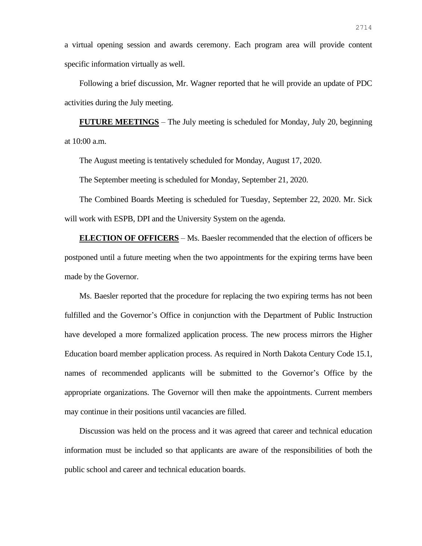a virtual opening session and awards ceremony. Each program area will provide content specific information virtually as well.

Following a brief discussion, Mr. Wagner reported that he will provide an update of PDC activities during the July meeting.

**FUTURE MEETINGS** – The July meeting is scheduled for Monday, July 20, beginning at 10:00 a.m.

The August meeting is tentatively scheduled for Monday, August 17, 2020.

The September meeting is scheduled for Monday, September 21, 2020.

The Combined Boards Meeting is scheduled for Tuesday, September 22, 2020. Mr. Sick will work with ESPB, DPI and the University System on the agenda.

**ELECTION OF OFFICERS** – Ms. Baesler recommended that the election of officers be postponed until a future meeting when the two appointments for the expiring terms have been made by the Governor.

Ms. Baesler reported that the procedure for replacing the two expiring terms has not been fulfilled and the Governor's Office in conjunction with the Department of Public Instruction have developed a more formalized application process. The new process mirrors the Higher Education board member application process. As required in North Dakota Century Code 15.1, names of recommended applicants will be submitted to the Governor's Office by the appropriate organizations. The Governor will then make the appointments. Current members may continue in their positions until vacancies are filled.

Discussion was held on the process and it was agreed that career and technical education information must be included so that applicants are aware of the responsibilities of both the public school and career and technical education boards.